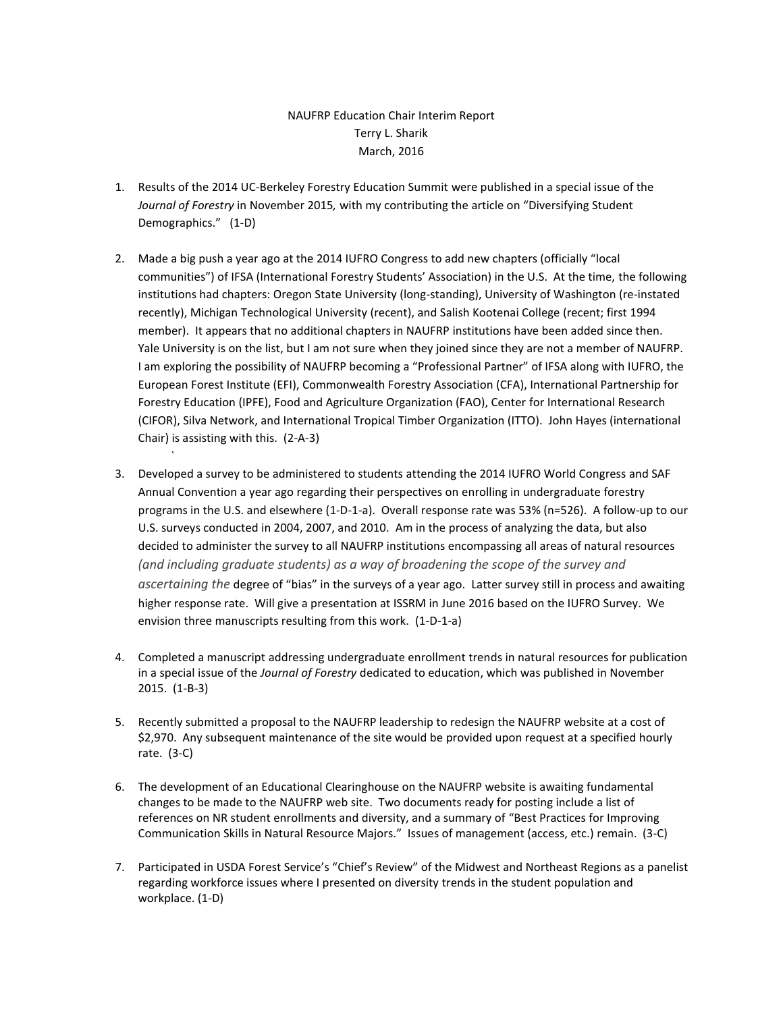## NAUFRP Education Chair Interim Report Terry L. Sharik March, 2016

- 1. Results of the 2014 UC-Berkeley Forestry Education Summit were published in a special issue of the *Journal of Forestry* in November 2015*,* with my contributing the article on "Diversifying Student Demographics." (1-D)
- 2. Made a big push a year ago at the 2014 IUFRO Congress to add new chapters (officially "local communities") of IFSA (International Forestry Students' Association) in the U.S. At the time, the following institutions had chapters: Oregon State University (long-standing), University of Washington (re-instated recently), Michigan Technological University (recent), and Salish Kootenai College (recent; first 1994 member). It appears that no additional chapters in NAUFRP institutions have been added since then. Yale University is on the list, but I am not sure when they joined since they are not a member of NAUFRP. I am exploring the possibility of NAUFRP becoming a "Professional Partner" of IFSA along with IUFRO, the European Forest Institute (EFI), Commonwealth Forestry Association (CFA), International Partnership for Forestry Education (IPFE), Food and Agriculture Organization (FAO), Center for International Research (CIFOR), Silva Network, and International Tropical Timber Organization (ITTO). John Hayes (international Chair) is assisting with this. (2-A-3)
- 3. Developed a survey to be administered to students attending the 2014 IUFRO World Congress and SAF Annual Convention a year ago regarding their perspectives on enrolling in undergraduate forestry programs in the U.S. and elsewhere (1-D-1-a). Overall response rate was 53% (n=526). A follow-up to our U.S. surveys conducted in 2004, 2007, and 2010. Am in the process of analyzing the data, but also decided to administer the survey to all NAUFRP institutions encompassing all areas of natural resources *(and including graduate students) as a way of broadening the scope of the survey and ascertaining the* degree of "bias" in the surveys of a year ago. Latter survey still in process and awaiting higher response rate. Will give a presentation at ISSRM in June 2016 based on the IUFRO Survey. We envision three manuscripts resulting from this work. (1-D-1-a)

`

- 4. Completed a manuscript addressing undergraduate enrollment trends in natural resources for publication in a special issue of the *Journal of Forestry* dedicated to education, which was published in November 2015. (1-B-3)
- 5. Recently submitted a proposal to the NAUFRP leadership to redesign the NAUFRP website at a cost of \$2,970. Any subsequent maintenance of the site would be provided upon request at a specified hourly rate. (3-C)
- 6. The development of an Educational Clearinghouse on the NAUFRP website is awaiting fundamental changes to be made to the NAUFRP web site. Two documents ready for posting include a list of references on NR student enrollments and diversity, and a summary of "Best Practices for Improving Communication Skills in Natural Resource Majors." Issues of management (access, etc.) remain. (3-C)
- 7. Participated in USDA Forest Service's "Chief's Review" of the Midwest and Northeast Regions as a panelist regarding workforce issues where I presented on diversity trends in the student population and workplace. (1-D)